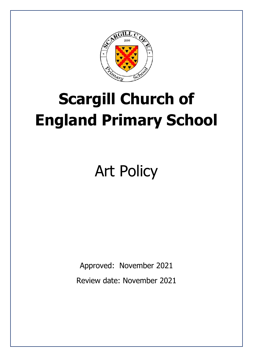

# **Scargill Church of England Primary School**

# Art Policy

Approved: November 2021 Review date: November 2021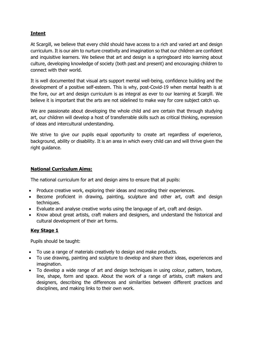# **Intent**

At Scargill, we believe that every child should have access to a rich and varied art and design curriculum. It is our aim to nurture creativity and imagination so that our children are confident and inquisitive learners. We believe that art and design is a springboard into learning about culture, developing knowledge of society (both past and present) and encouraging children to connect with their world.

It is well documented that visual arts support mental well-being, confidence building and the development of a positive self-esteem. This is why, post-Covid-19 when mental health is at the fore, our art and design curriculum is as integral as ever to our learning at Scargill. We believe it is important that the arts are not sidelined to make way for core subject catch up.

We are passionate about developing the whole child and are certain that through studying art, our children will develop a host of transferrable skills such as critical thinking, expression of ideas and intercultural understanding.

We strive to give our pupils equal opportunity to create art regardless of experience, background, ability or disability. It is an area in which every child can and will thrive given the right guidance.

#### **National Curriculum Aims:**

The national curriculum for art and design aims to ensure that all pupils:

- Produce creative work, exploring their ideas and recording their experiences.
- Become proficient in drawing, painting, sculpture and other art, craft and design techniques.
- Evaluate and analyse creative works using the language of art, craft and design.
- Know about great artists, craft makers and designers, and understand the historical and cultural development of their art forms.

## **Key Stage 1**

Pupils should be taught:

- To use a range of materials creatively to design and make products.
- To use drawing, painting and sculpture to develop and share their ideas, experiences and imagination.
- To develop a wide range of art and design techniques in using colour, pattern, texture, line, shape, form and space. About the work of a range of artists, craft makers and designers, describing the differences and similarities between different practices and disciplines, and making links to their own work.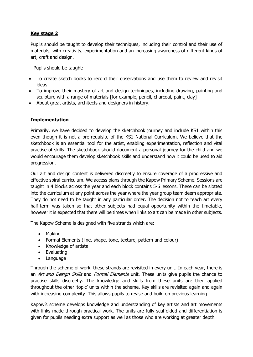# **Key stage 2**

Pupils should be taught to develop their techniques, including their control and their use of materials, with creativity, experimentation and an increasing awareness of different kinds of art, craft and design.

Pupils should be taught:

- To create sketch books to record their observations and use them to review and revisit ideas
- To improve their mastery of art and design techniques, including drawing, painting and sculpture with a range of materials [for example, pencil, charcoal, paint, clay]
- About great artists, architects and designers in history.

#### **Implementation**

Primarily, we have decided to develop the sketchbook journey and include KS1 within this even though it is not a pre-requisite of the KS1 National Curriculum. We believe that the sketchbook is an essential tool for the artist, enabling experimentation, reflection and vital practise of skills. The sketchbook should document a personal journey for the child and we would encourage them develop sketchbook skills and understand how it could be used to aid progression.

Our art and design content is delivered discreetly to ensure coverage of a progressive and effective spiral curriculum. We access plans through the Kapow Primary Scheme. Sessions are taught in 4 blocks across the year and each block contains 5-6 lessons. These can be slotted into the curriculum at any point across the year where the year group team deem appropriate. They do not need to be taught in any particular order. The decision not to teach art every half-term was taken so that other subjects had equal opportunity within the timetable, however it is expected that there will be times when links to art can be made in other subjects.

The Kapow Scheme is designed with five strands which are:

- Making
- Formal Elements (line, shape, tone, texture, pattern and colour)
- Knowledge of artists
- Evaluating
- Language

Through the scheme of work, these strands are revisited in every unit. In each year, there is an Art and Design Skills and Formal Elements unit. These units give pupils the chance to practise skills discreetly. The knowledge and skills from these units are then applied throughout the other 'topic' units within the scheme. Key skills are revisited again and again with increasing complexity. This allows pupils to revise and build on previous learning.

Kapow's scheme develops knowledge and understanding of key artists and art movements with links made through practical work. The units are fully scaffolded and differentiation is given for pupils needing extra support as well as those who are working at greater depth.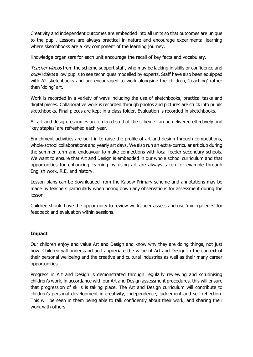Creativity and independent outcomes are embedded into all units so that outcomes are unique to the pupil. Lessons are always practical in nature and encourage experimental learning where sketchbooks are a key component of the learning journey.

Knowledge organisers for each unit encourage the recall of key facts and vocabulary.

Teacher videos from the scheme support staff, who may be lacking in skills or confidence and pupil videos allow pupils to see techniques modelled by experts. Staff have also been equipped with A2 sketchbooks and are encouraged to work alongside the children, 'teaching' rather than 'doing' art.

Work is recorded in a variety of ways including the use of sketchbooks, practical tasks and digital pieces. Collaborative work is recorded through photos and pictures are stuck into pupils sketchbooks. Final pieces are kept in a class folder. Evaluation is recorded in sketchbooks.

All art and design resources are ordered so that the scheme can be delivered effectively and 'key staples' are refreshed each year.

Enrichment activities are built in to raise the profile of art and design through competitions, whole-school collaborations and yearly art days. We also run an extra-curricular art club during the summer term and endeavour to make connections with local feeder secondary schools. We want to ensure that Art and Design is embedded in our whole school curriculum and that opportunities for enhancing learning by using art are always taken for example through English work, R.E. and history.

Lesson plans can be downloaded from the Kapow Primary scheme and annotations may be made by teachers particularly when noting down any observations for assessment during the lesson.

Children should have the opportunity to review work, peer assess and use 'mini-galleries' for feedback and evaluation within sessions.

#### **Impact**

Our children enjoy and value Art and Design and know why they are doing things, not just how. Children will understand and appreciate the value of Art and Design in the context of their personal wellbeing and the creative and cultural industries as well as their many career opportunities.

Progress in Art and Design is demonstrated through regularly reviewing and scrutinising children's work, in accordance with our Art and Design assessment procedures, this will ensure that progression of skills is taking place. The Art and Design curriculum will contribute to children's personal development in creativity, independence, judgement and self-reflection. This will be seen in them being able to talk confidently about their work, and sharing their work with others.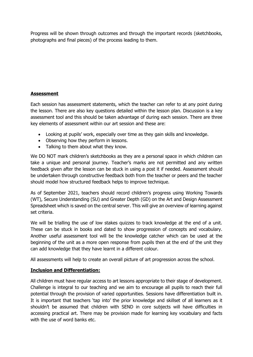Progress will be shown through outcomes and through the important records (sketchbooks, photographs and final pieces) of the process leading to them.

#### **Assessment**

Each session has assessment statements, which the teacher can refer to at any point during the lesson. There are also key questions detailed within the lesson plan. Discussion is a key assessment tool and this should be taken advantage of during each session. There are three key elements of assessment within our art session and these are:

- Looking at pupils' work, especially over time as they gain skills and knowledge.
- Observing how they perform in lessons.
- Talking to them about what they know.

We DO NOT mark children's sketchbooks as they are a personal space in which children can take a unique and personal journey. Teacher's marks are not permitted and any written feedback given after the lesson can be stuck in using a post it if needed. Assessment should be undertaken through constructive feedback both from the teacher or peers and the teacher should model how structured feedback helps to improve technique.

As of September 2021, teachers should record children's progress using Working Towards (WT), Secure Understanding (SU) and Greater Depth (GD) on the Art and Design Assessment Spreadsheet which is saved on the central server. This will give an overview of learning against set criteria.

We will be trialling the use of low stakes quizzes to track knowledge at the end of a unit. These can be stuck in books and dated to show progression of concepts and vocabulary. Another useful assessment tool will be the knowledge catcher which can be used at the beginning of the unit as a more open response from pupils then at the end of the unit they can add knowledge that they have learnt in a different colour.

All assessments will help to create an overall picture of art progression across the school.

## **Inclusion and Differentiation:**

All children must have regular access to art lessons appropriate to their stage of development. Challenge is integral to our teaching and we aim to encourage all pupils to reach their full potential through the provision of varied opportunities. Sessions have differentiation built in. It is important that teachers 'tap into' the prior knowledge and skillset of all learners as it shouldn't be assumed that children with SEND in core subjects will have difficulties in accessing practical art. There may be provision made for learning key vocabulary and facts with the use of word banks etc.